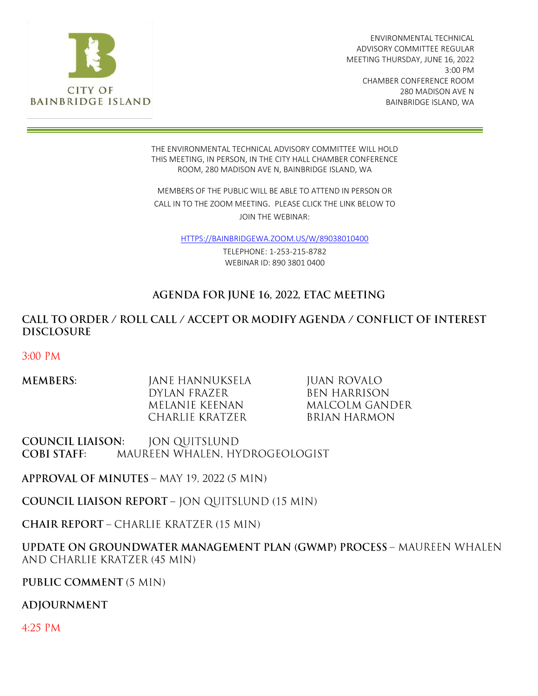

ENVIRONMENTAL TECHNICAL ADVISORY COMMITTEE REGULAR MEETING THURSDAY, JUNE 16, 2022 3:00 PM CHAMBER CONFERENCE ROOM 280 MADISON AVE N BAINBRIDGE ISLAND, WA

THE ENVIRONMENTAL TECHNICAL ADVISORY COMMITTEE WILL HOLD THIS MEETING, IN PERSON, IN THE CITY HALL CHAMBER CONFERENCE ROOM, 280 MADISON AVE N, BAINBRIDGE ISLAND, WA

MEMBERS OF THE PUBLIC WILL BE ABLE TO ATTEND IN PERSON OR CALL IN TO THE ZOOM MEETING. PLEASE CLICK THE LINK BELOW TO JOIN THE WEBINAR:

[HTTPS://BAINBRIDGEWA.ZOOM.US/W/89038010400](https://bainbridgewa.zoom.us/W/89038010400)

TELEPHONE: 1-253-215-8782 WEBINAR ID: 890 3801 0400

### AGENDA FOR JUNE 16, 2022, ETAC MEETING

### CALL TO ORDER / ROLL CALL / ACCEPT OR MODIFY AGENDA / CONFLICT OF INTEREST **DISCLOSURE**

3:00 PM

| <b>MEMBERS:</b> | JANE HANNUKSELA | JUAN ROVALO    |
|-----------------|-----------------|----------------|
|                 | DYLAN FRAZER    | BEN HARRISON   |
|                 | MELANIE KEENAN. | MALCOLM GANDER |
|                 | CHARLIE KRATZER | BRIAN HARMON   |

**COUNCIL LIAISON: JON QUITSLUND** MAUREEN WHALEN, HYDROGEOLOGIST **COBI STAFF:** 

APPROVAL OF MINUTES - MAY 19, 2022 (5 MIN)

**COUNCIL LIAISON REPORT - JON QUITSLUND (15 MIN)** 

**CHAIR REPORT - CHARLIE KRATZER (15 MIN)** 

UPDATE ON GROUNDWATER MANAGEMENT PLAN (GWMP) PROCESS - MAUREEN WHALEN AND CHARLIE KRATZER (45 MIN)

PUBLIC COMMENT (5 MIN)

**ADJOURNMENT** 

4:25 PM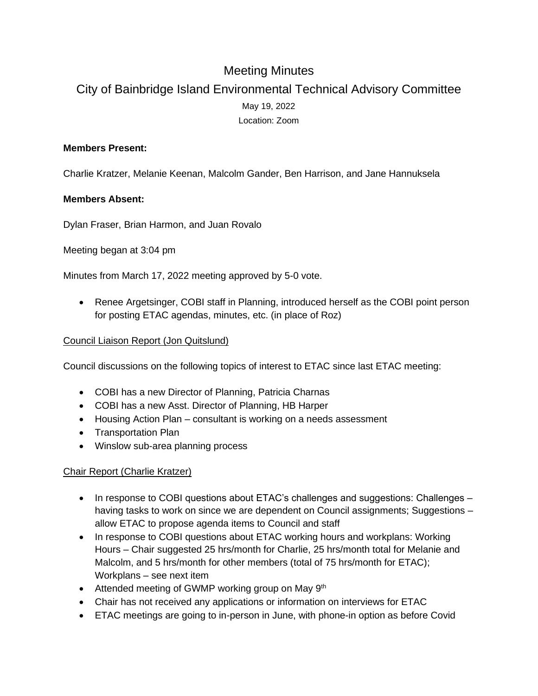## Meeting Minutes

# City of Bainbridge Island Environmental Technical Advisory Committee May 19, 2022 Location: Zoom

#### **Members Present:**

Charlie Kratzer, Melanie Keenan, Malcolm Gander, Ben Harrison, and Jane Hannuksela

#### **Members Absent:**

Dylan Fraser, Brian Harmon, and Juan Rovalo

Meeting began at 3:04 pm

Minutes from March 17, 2022 meeting approved by 5-0 vote.

• Renee Argetsinger, COBI staff in Planning, introduced herself as the COBI point person for posting ETAC agendas, minutes, etc. (in place of Roz)

#### Council Liaison Report (Jon Quitslund)

Council discussions on the following topics of interest to ETAC since last ETAC meeting:

- COBI has a new Director of Planning, Patricia Charnas
- COBI has a new Asst. Director of Planning, HB Harper
- Housing Action Plan consultant is working on a needs assessment
- Transportation Plan
- Winslow sub-area planning process

#### Chair Report (Charlie Kratzer)

- In response to COBI questions about ETAC's challenges and suggestions: Challenges having tasks to work on since we are dependent on Council assignments; Suggestions – allow ETAC to propose agenda items to Council and staff
- In response to COBI questions about ETAC working hours and workplans: Working Hours – Chair suggested 25 hrs/month for Charlie, 25 hrs/month total for Melanie and Malcolm, and 5 hrs/month for other members (total of 75 hrs/month for ETAC); Workplans – see next item
- Attended meeting of GWMP working group on May 9<sup>th</sup>
- Chair has not received any applications or information on interviews for ETAC
- ETAC meetings are going to in-person in June, with phone-in option as before Covid